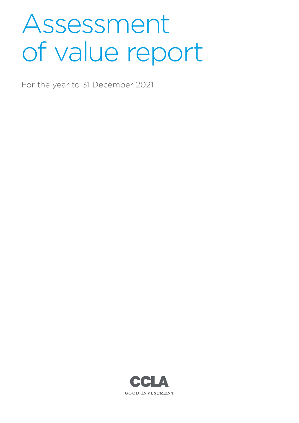# Assessment of value report

For the year to 31 December 2021

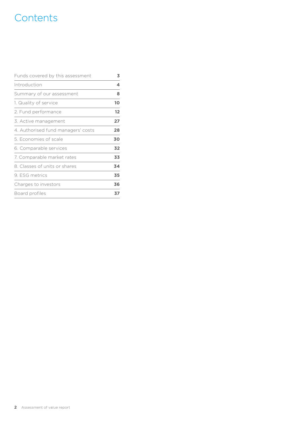# **Contents**

| Funds covered by this assessment   | 3  |
|------------------------------------|----|
| Introduction                       | 4  |
| Summary of our assessment          | 8  |
| 1. Quality of service              | 10 |
| 2. Fund performance                | 12 |
| 3. Active management               | 27 |
| 4. Authorised fund managers' costs | 28 |
| 5. Economies of scale              | 30 |
| 6. Comparable services             | 32 |
| 7. Comparable market rates         | 33 |
| 8. Classes of units or shares      | 34 |
| 9. ESG metrics                     | 35 |
| Charges to investors               | 36 |
| Board profiles                     | 37 |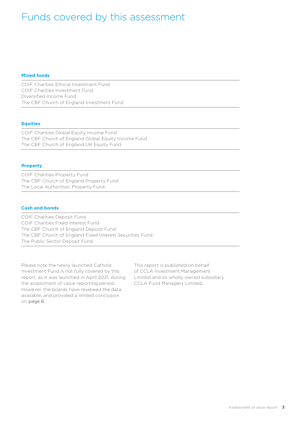# <span id="page-2-0"></span>Funds covered by this assessment

#### **Mixed funds**

COIF Charities Ethical Investment Fund COIF Charities Investment Fund Diversified Income Fund The CBF Church of England Investment Fund

#### **Equities**

COIF Charities Global Equity Income Fund The CBF Church of England Global Equity Income Fund The CBF Church of England UK Equity Fund

#### **Property**

COIF Charities Property Fund The CBF Church of England Property Fund The Local Authorities' Property Fund

#### **Cash and bonds**

COIF Charities Deposit Fund COIF Charities Fixed Interest Fund The CBF Church of England Deposit Fund The CBF Church of England Fixed Interest Securities Fund The Public Sector Deposit Fund

Please note the newly launched Catholic Investment Fund is not fully covered by this report, as it was launched in April 2021, during the assessment of value reporting period. However, the boards have reviewed the data available, and provided a limited conclusion on [page 6](#page-5-0).

This report is published on behalf of CCLA Investment Management Limited and its wholly owned subsidiary CCLA Fund Managers Limited.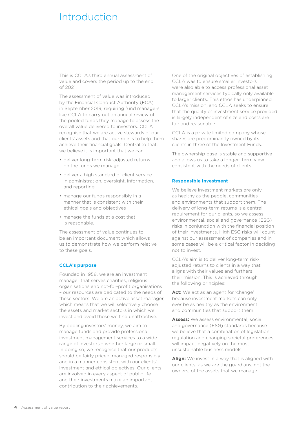### <span id="page-3-0"></span>Introduction

This is CCLA's third annual assessment of value and covers the period up to the end of 2021.

The assessment of value was introduced by the Financial Conduct Authority (FCA) in September 2019, requiring fund managers like CCLA to carry out an annual review of the pooled funds they manage to assess the overall value delivered to investors. CCLA recognise that we are active stewards of our clients' assets and that our role is to help them achieve their financial goals. Central to that, we believe it is important that we can:

- deliver long-term risk-adjusted returns on the funds we manage
- deliver a high standard of client service in administration, oversight, information, and reporting
- manage our funds responsibly in a manner that is consistent with their ethical goals and objectives
- manage the funds at a cost that is reasonable.

The assessment of value continues to be an important document which allows us to demonstrate how we perform relative to these goals.

#### **CCLA's purpose**

Founded in 1958, we are an investment manager that serves charities, religious organisations and not-for-profit organisations – our resources are dedicated to the needs of these sectors. We are an active asset manager, which means that we will selectively choose the assets and market sectors in which we invest and avoid those we find unattractive.

By pooling investors' money, we aim to manage funds and provide professional investment management services to a wide range of investors – whether large or small. In doing so, we recognise that our products should be fairly priced, managed responsibly and in a manner consistent with our clients' investment and ethical objectives. Our clients are involved in every aspect of public life and their investments make an important contribution to their achievements.

One of the original objectives of establishing CCLA was to ensure smaller investors were also able to access professional asset management services typically only available to larger clients. This ethos has underpinned CCLA's mission, and CCLA seeks to ensure that the quality of investment service provided is largely independent of size and costs are fair and reasonable.

CCLA is a private limited company whose shares are predominantly owned by its clients in three of the Investment Funds.

The ownership base is stable and supportive and allows us to take a longer- term view consistent with the needs of clients.

#### **Responsible investment**

We believe investment markets are only as healthy as the people, communities and environments that support them. The delivery of long-term returns is a central requirement for our clients, so we assess environmental, social and governance (ESG) risks in conjunction with the financial position of their investments. High ESG risks will count against our assessment of companies and in some cases will be a critical factor in deciding not to invest.

CCLA's aim is to deliver long-term riskadjusted returns to clients in a way that aligns with their values and furthers their mission. This is achieved through the following principles:

**Act:** We act as an agent for 'change' because investment markets can only ever be as healthy as the environment and communities that support them.

**Assess:** We assess environmental, social and governance (ESG) standards because we believe that a combination of legislation, regulation and changing societal preferences will impact negatively on the most unsustainable business models

**Align:** We invest in a way that is aligned with our clients, as we are the guardians, not the owners, of the assets that we manage.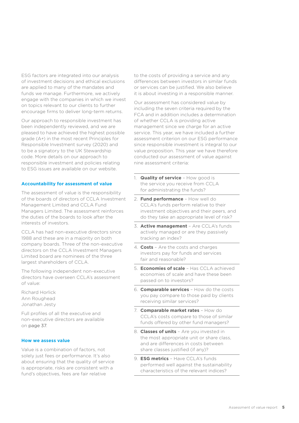ESG factors are integrated into our analysis of investment decisions and ethical exclusions are applied to many of the mandates and funds we manage. Furthermore, we actively engage with the companies in which we invest on topics relevant to our clients to further encourage firms to deliver long-term returns.

Our approach to responsible investment has been independently reviewed, and we are pleased to have achieved the highest possible grade (A+) in the most recent Principles for Responsible Investment survey (2020) and to be a signatory to the UK Stewardship code. More details on our approach to responsible investment and policies relating to ESG issues are available on our website.

#### **Accountability for assessment of value**

The assessment of value is the responsibility of the boards of directors of CCLA Investment Management Limited and CCLA Fund Managers Limited. The assessment reinforces the duties of the boards to look after the interests of investors.

CCLA has had non-executive directors since 1988 and these are in a majority on both company boards. Three of the non-executive directors on the CCLA Investment Managers Limited board are nominees of the three largest shareholders of CCLA.

The following independent non-executive directors have overseen CCLA's assessment of value:

Richard Horlick Ann Roughead Jonathan Jesty

Full profiles of all the executive and non-executive directors are available on [page 37](#page-36-1).

#### **How we assess value**

Value is a combination of factors, not solely just fees or performance. It's also about ensuring that the quality of service is appropriate, risks are consistent with a fund's objectives, fees are fair relative

to the costs of providing a service and any differences between investors in similar funds or services can be justified. We also believe it is about investing in a responsible manner.

Our assessment has considered value by including the seven criteria required by the FCA and in addition includes a determination of whether CCLA is providing active management since we charge for an active service. This year, we have included a further assessment criterion on our ESG performance since responsible investment is integral to our value proposition. This year we have therefore conducted our assessment of value against nine assessment criteria:

- 1. **Quality of service**  How good is the service you receive from CCLA for administrating the funds?
- 2. **Fund performance**  How well do CCLA's funds perform relative to their investment objectives and their peers, and do they take an appropriate level of risk?
- 3. **Active management**  Are CCLA's funds actively managed or are they passively tracking an index?
- 4. **Costs**  Are the costs and charges investors pay for funds and services fair and reasonable?
- 5. **Economies of scale**  Has CCLA achieved economies of scale and have these been passed on to investors?
- 6. **Comparable services**  How do the costs you pay compare to those paid by clients receiving similar services?
- 7. **Comparable market rates**  How do CCLA's costs compare to those of similar funds offered by other fund managers?
- 8. **Classes of units**  Are you invested in the most appropriate unit or share class, and are differences in costs between share classes justified (if any)?
- 9. **ESG metrics**  Have CCLA's funds performed well against the sustainability characteristics of the relevant indices?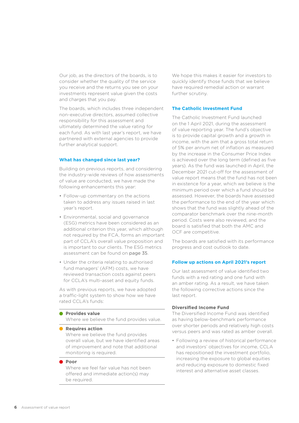Our job, as the directors of the boards, is to consider whether the quality of the service you receive and the returns you see on your investments represent value given the costs and charges that you pay.

The boards, which includes three independent non-executive directors, assumed collective responsibility for this assessment and ultimately determined the value rating for each fund. As with last year's report, we have partnered with external agencies to provide further analytical support.

#### **What has changed since last year?**

Building on previous reports, and considering the industry-wide reviews of how assessments of value are conducted, we have made the following enhancements this year:

- Follow-up commentary on the actions taken to address any issues raised in last year's report.
- Environmental, social and governance (ESG) metrics have been considered as an additional criterion this year, which although not required by the FCA, forms an important part of CCLA's overall value proposition and is important to our clients. The ESG metrics assessment can be found on [page 35](#page-34-1).
- Under the criteria relating to authorised fund managers' (AFM) costs, we have reviewed transaction costs against peers for CCLA's multi-asset and equity funds.

As with previous reports, we have adopted a traffic-light system to show how we have rated CCLA's funds:

#### **Provides value**

Where we believe the fund provides value.

**Requires action** Where we believe the fund provides overall value, but we have identified areas of improvement and note that additional monitoring is required.

#### **Poor**

Where we feel fair value has not been offered and immediate action(s) may be required.

We hope this makes it easier for investors to quickly identify those funds that we believe have required remedial action or warrant further scrutiny.

#### <span id="page-5-0"></span>**The Catholic Investment Fund**

The Catholic Investment Fund launched on the 1 April 2021, during the assessment of value reporting year. The fund's objective is to provide capital growth and a growth in income, with the aim that a gross total return of 5% per annum net of inflation as measured by the increase in the Consumer Price Index is achieved over the long term (defined as five years). As the fund was launched in April, the December 2021 cut-off for the assessment of value report means that the fund has not been in existence for a year, which we believe is the minimum period over which a fund should be assessed. However, the boards have assessed the performance to the end of the year which shows that the fund was slightly ahead of the comparator benchmark over the nine-month period. Costs were also reviewed, and the board is satisfied that both the AMC and OCF are competitive.

The boards are satisfied with its performance progress and cost outlook to date.

#### **Follow up actions on April 2021's report**

Our last assessment of value identified two funds with a red rating and one fund with an amber rating. As a result, we have taken the following corrective actions since the last report.

#### **Diversified Income Fund**

The Diversified Income Fund was identified as having below-benchmark performance over shorter periods and relatively high costs versus peers and was rated as amber overall.

• Following a review of historical performance and investors' objectives for income, CCLA has repositioned the investment portfolio, increasing the exposure to global equities and reducing exposure to domestic fixed interest and alternative asset classes.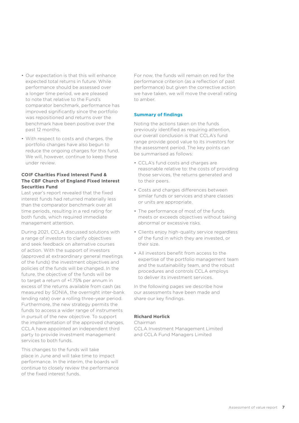- Our expectation is that this will enhance expected total returns in future. While performance should be assessed over a longer time period, we are pleased to note that relative to the Fund's comparator benchmark, performance has improved significantly since the portfolio was repositioned and returns over the benchmark have been positive over the past 12 months.
- With respect to costs and charges, the portfolio changes have also begun to reduce the ongoing charges for this fund. We will, however, continue to keep these under review.

#### **COIF Charities Fixed Interest Fund & The CBF Church of England Fixed Interest Securities Fund**

Last year's report revealed that the fixed interest funds had returned materially less than the comparator benchmark over all time periods, resulting in a red rating for both funds, which required immediate management attention.

During 2021, CCLA discussed solutions with a range of investors to clarify objectives and seek feedback on alternative courses of action. With the support of investors (approved at extraordinary general meetings of the funds) the investment objectives and policies of the funds will be changed. In the future, the objective of the funds will be to target a return of +1.75% per annum in excess of the returns available from cash (as measured by SONIA, the overnight inter-bank lending rate) over a rolling three-year period. Furthermore, the new strategy permits the funds to access a wider range of instruments in pursuit of the new objective. To support the implementation of the approved changes, CCLA have appointed an independent third party to provide investment management services to both funds.

This changes to the funds will take place in June and will take time to impact performance. In the interim, the boards will continue to closely review the performance of the fixed interest funds.

For now, the funds will remain on red for the performance criterion (as a reflection of past performance) but given the corrective action we have taken, we will move the overall rating to amber.

#### **Summary of findings**

Noting the actions taken on the funds previously identified as requiring attention, our overall conclusion is that CCLA's fund range provide good value to its investors for the assessment period. The key points can be summarised as follows:

- CCLA's fund costs and charges are reasonable relative to: the costs of providing those services, the returns generated and to their peers.
- Costs and charges differences between similar funds or services and share classes or units are appropriate.
- The performance of most of the funds meets or exceeds objectives without taking abnormal or excessive risks.
- Clients enjoy high-quality service regardless of the fund in which they are invested, or their size.
- All investors benefit from access to the expertise of the portfolio management team and the sustainability team, and the robust procedures and controls CCLA employs to deliver its investment services.

In the following pages we describe how our assessments have been made and share our key findings.

#### **Richard Horlick**

Chairman CCLA Investment Management Limited and CCLA Fund Managers Limited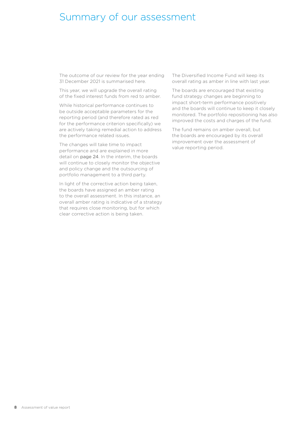### <span id="page-7-0"></span>Summary of our assessment

The outcome of our review for the year ending 31 December 2021 is summarised here.

This year, we will upgrade the overall rating of the fixed interest funds from red to amber.

While historical performance continues to be outside acceptable parameters for the reporting period (and therefore rated as red for the performance criterion specifically) we are actively taking remedial action to address the performance related issues.

The changes will take time to impact performance and are explained in more detail on [page 24](#page-23-0). In the interim, the boards will continue to closely monitor the objective and policy change and the outsourcing of portfolio management to a third party.

In light of the corrective action being taken, the boards have assigned an amber rating to the overall assessment. In this instance, an overall amber rating is indicative of a strategy that requires close monitoring, but for which clear corrective action is being taken.

The Diversified Income Fund will keep its overall rating as amber in line with last year.

The boards are encouraged that existing fund strategy changes are beginning to impact short-term performance positively and the boards will continue to keep it closely monitored. The portfolio repositioning has also improved the costs and charges of the fund.

The fund remains on amber overall, but the boards are encouraged by its overall improvement over the assessment of value reporting period.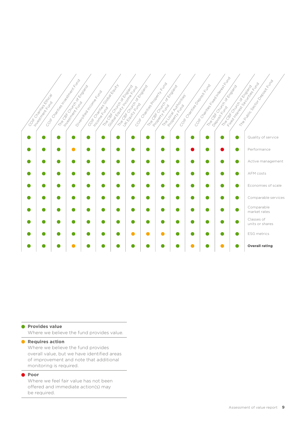|                                      | CO/K Cystles Magnum Mark Kong<br>The Case of Manufacturer of Case of Case | Dilegación Manuel Richard | CO/K Collage River Collage River<br>The Gas City Concernsion of the Branch | The Cap Church of Change | CO/K Change Report of Manufacturing | The Gate Survey of Chicago |                          | CO/K CHATHOR BOOSITK (AMA | CONCLUSION MANUSCRIPTION ROAD<br>The Gate of Cristophy of Capital Cristophy | Treplating Because of the Condemn Basic Condemn<br>The OSE Concept of Concept of Concept of Concept of Concept of Concept of Concept of Concept of Concept of Concept of Concept of Concept of Concept of Concept of Concept of Concept of Concept of Concept of Concept of Conce |
|--------------------------------------|---------------------------------------------------------------------------|---------------------------|----------------------------------------------------------------------------|--------------------------|-------------------------------------|----------------------------|--------------------------|---------------------------|-----------------------------------------------------------------------------|-----------------------------------------------------------------------------------------------------------------------------------------------------------------------------------------------------------------------------------------------------------------------------------|
|                                      |                                                                           |                           |                                                                            |                          |                                     |                            |                          |                           |                                                                             |                                                                                                                                                                                                                                                                                   |
| COKCO BRITISH COST<br>Integration of |                                                                           |                           |                                                                            |                          |                                     |                            | The Coal Control Critics |                           |                                                                             |                                                                                                                                                                                                                                                                                   |
|                                      |                                                                           |                           |                                                                            |                          |                                     |                            |                          |                           |                                                                             | Quality of service                                                                                                                                                                                                                                                                |
|                                      |                                                                           |                           |                                                                            |                          |                                     |                            |                          |                           |                                                                             | Performance                                                                                                                                                                                                                                                                       |
|                                      |                                                                           |                           |                                                                            |                          |                                     |                            |                          |                           |                                                                             | Active management                                                                                                                                                                                                                                                                 |
|                                      |                                                                           |                           |                                                                            |                          |                                     |                            |                          |                           |                                                                             | AFM costs                                                                                                                                                                                                                                                                         |
|                                      |                                                                           |                           |                                                                            |                          |                                     |                            |                          |                           |                                                                             | Economies of scale                                                                                                                                                                                                                                                                |
|                                      |                                                                           |                           |                                                                            |                          |                                     |                            |                          |                           |                                                                             | Comparable services                                                                                                                                                                                                                                                               |
|                                      |                                                                           |                           |                                                                            |                          |                                     |                            |                          |                           |                                                                             | Comparable<br>market rates                                                                                                                                                                                                                                                        |
|                                      |                                                                           |                           |                                                                            |                          |                                     |                            |                          |                           |                                                                             | Classes of<br>units or shares                                                                                                                                                                                                                                                     |
|                                      |                                                                           |                           |                                                                            |                          |                                     |                            |                          |                           |                                                                             | <b>ESG</b> metrics                                                                                                                                                                                                                                                                |
|                                      |                                                                           |                           |                                                                            |                          |                                     |                            |                          |                           |                                                                             | <b>Overall rating</b>                                                                                                                                                                                                                                                             |

#### **Provides value**

Where we believe the fund provides value.

#### **• Requires action**

Where we believe the fund provides overall value, but we have identified areas of improvement and note that additional monitoring is required.

#### **Poor**

Where we feel fair value has not been offered and immediate action(s) may be required.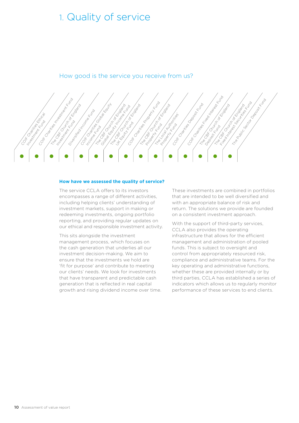### <span id="page-9-0"></span>1. Quality of service



U. B. St. Congress of England

Contractive Property Fundamental Charles Charles Church of Church of Church of Church of Church of Church of C<br>Charles Charles Church of Church of Church of Church of Church of Church of Church of Church of Church of Chur<br>

Toom Taxable

The Local Authorities' Contract Contract Contract Contract Contract Contract Contract Contract Contract Contra<br>The Local Authorities of Contract Contract Contract Contract Contract Contract Contract Contract Contract Con<br>C

COIF CHARGE TREE

September 2007<br>The Company Church of England<br>Company Church of England<br>Reposite Fundamental

The Capital of Church of Church of Church of Church of Church of Church of Church of Church of Church of Church

r Securities Securities Securities

Necro Manufacture

#### **How have we assessed the quality of service?**

The Company of England<br>UK Equity Fundamental Church of England<br>UK Equity Fundamental Church of Equity Fundamental<br>UK Extending Fundamental Church of

The service CCLA offers to its investors encompasses a range of different activities, including helping clients' understanding of investment markets, support in making or redeeming investments, ongoing portfolio reporting, and providing regular updates on our ethical and responsible investment activity.

This sits alongside the investment management process, which focuses on the cash generation that underlies all our investment decision-making. We aim to ensure that the investments we hold are 'fit for purpose' and contribute to meeting our clients' needs. We look for investments that have transparent and predictable cash generation that is reflected in real capital growth and rising dividend income over time.

These investments are combined in portfolios that are intended to be well diversified and with an appropriate balance of risk and return. The solutions we provide are founded on a consistent investment approach.

With the support of third-party services, CCLA also provides the operating infrastructure that allows for the efficient management and administration of pooled funds. This is subject to oversight and control from appropriately resourced risk, compliance and administrative teams. For the key operating and administrative functions, whether these are provided internally or by third parties, CCLA has established a series of indicators which allows us to regularly monitor performance of these services to end clients.

Conference Contents

Contraction Charles Investment Reserves

**Right Strange Association** 

Contractives Global Equipment

Income Read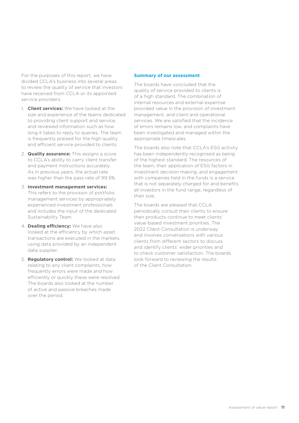For the purposes of this report, we have divided CCLA's business into several areas to review the quality of service that investors have received from CCLA or its appointed service providers:

- 1. **Client services:** We have looked at the size and experience of the teams dedicated to providing client support and service, and reviewed information such as how long it takes to reply to queries. The team is frequently praised for the high quality and efficient service provided to clients.
- 2. **Quality assurance:** This assigns a score to CCLA's ability to carry client transfer and payment instructions accurately. As in previous years, the actual rate was higher than the pass rate of 99.5%.
- 3. **Investment management services:** This refers to the provision of portfolio management services by appropriately experienced investment professionals and includes the input of the dedicated Sustainability Team.
- 4. **Dealing efficiency:** We have also looked at the efficiency by which asset transactions are executed in the markets, using data provided by an independent data supplier.
- 5. **Regulatory control:** We looked at data relating to any client complaints, how frequently errors were made and how efficiently or quickly these were resolved. The boards also looked at the number of active and passive breaches made over the period.

#### **Summary of our assessment**

The boards have concluded that the quality of service provided to clients is of a high standard. The combination of internal resources and external expertise provided value in the provision of investment management, and client and operational services. We are satisfied that the incidence of errors remains low, and complaints have been investigated and managed within the appropriate timescales.

The boards also note that CCLA's ESG activity has been independently recognised as being of the highest standard. The resources of the team, their application of ESG factors in investment decision making, and engagement with companies held in the funds is a service that is not separately charged for and benefits all investors in the fund range, regardless of their size.

The boards are pleased that CCLA periodically consult their clients to ensure their products continue to meet clients' value-based investment priorities. The 2022 Client Consultation is underway and involves conversations with various clients from different sectors to discuss and identify clients' wider priorities and to check customer satisfaction. The boards look forward to reviewing the results of the Client Consultation.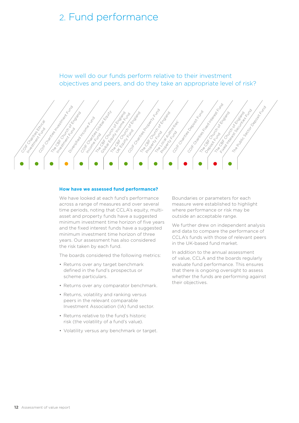### <span id="page-11-0"></span>2. Fund performance

How well do our funds perform relative to their investment objectives and peers, and do they take an appropriate level of risk?



#### **How have we assessed fund performance?**

We have looked at each fund's performance across a range of measures and over several time periods, noting that CCLA's equity, multiasset and property funds have a suggested minimum investment time horizon of five years and the fixed interest funds have a suggested minimum investment time horizon of three years. Our assessment has also considered the risk taken by each fund.

The boards considered the following metrics:

- Returns over any target benchmark defined in the fund's prospectus or scheme particulars.
- Returns over any comparator benchmark.
- Returns, volatility and ranking versus peers in the relevant comparable Investment Association (IA) fund sector.
- Returns relative to the fund's historic risk (the volatility of a fund's value).
- Volatility versus any benchmark or target.

Boundaries or parameters for each measure were established to highlight where performance or risk may be outside an acceptable range.

We further drew on independent analysis and data to compare the performance of CCLA's funds with those of relevant peers in the UK-based fund market.

In addition to the annual assessment of value, CCLA and the boards regularly evaluate fund performance. This ensures that there is ongoing oversight to assess whether the funds are performing against their objectives.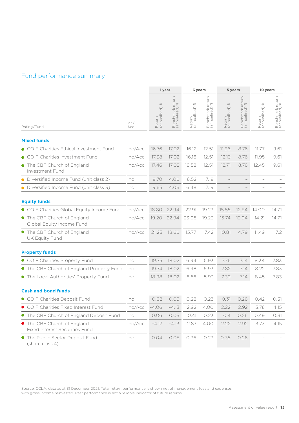### Fund performance summary

|                                                               |             | 1 year                                    |                                            | 3 years                           |                                               | 5 years                          |                                                        | 10 years                         |                                    |
|---------------------------------------------------------------|-------------|-------------------------------------------|--------------------------------------------|-----------------------------------|-----------------------------------------------|----------------------------------|--------------------------------------------------------|----------------------------------|------------------------------------|
| Rating/Fund                                                   | lnc/<br>Acc | $\frac{5}{6}$<br>Return<br>(annualised) ! | return<br>%<br>Benchmark r<br>(annualised) | $\gg$<br>Return<br>(annualised) 9 | return<br>) %<br>Benchmark re<br>(annualised) | $\%$<br>Return<br>(annualised) 9 | return<br><sup>96</sup><br>Benchmark r<br>(annualised) | $\%$<br>Return<br>(annualised) 9 | Benchmark return<br>(annualised) % |
| <b>Mixed funds</b>                                            |             |                                           |                                            |                                   |                                               |                                  |                                                        |                                  |                                    |
| COIF Charities Ethical Investment Fund                        | Inc/Acc     | 16.76                                     | 17.02                                      | 16.12                             | 12.51                                         | 11.96                            | 8.76                                                   | 11.77                            | 9.61                               |
| COIF Charities Investment Fund                                | Inc/Acc     |                                           | 17.02                                      | 16.16                             | 12.51                                         |                                  | 8.76                                                   | 11.95                            | 9.61                               |
| • The CBF Church of England<br>Investment Fund                | Inc/Acc     | 17.38<br>17.46                            | 17.02                                      | 16.58                             | 12.51                                         | 12.13<br>12.71                   | 8.76                                                   | 12.45                            | 9.61                               |
| Diversified Income Fund (unit class 2)                        | Inc         | 9.70                                      | 4.06                                       | 6.52                              | 7.19                                          |                                  |                                                        |                                  |                                    |
| Diversified Income Fund (unit class 3)                        | Inc         | 9.65                                      | 4.06                                       | 6.48                              | 7.19                                          |                                  |                                                        |                                  |                                    |
| <b>Equity funds</b>                                           |             |                                           |                                            |                                   |                                               |                                  |                                                        |                                  |                                    |
| • COIF Charities Global Equity Income Fund                    | Inc/Acc     | 18.80                                     | 22.94                                      | 22.91                             | 19.23                                         | 15.55                            | 12.94                                                  | 14.00                            | 14.71                              |
| • The CBF Church of England<br>Global Equity Income Fund      | Inc/Acc     | 19.20                                     | 22.94                                      | 23.05                             | 19.23                                         | 15.74                            | 12.94                                                  | 14.21                            | 14.71                              |
| The CBF Church of England<br>UK Equity Fund                   | Inc/Acc     | 21.25                                     | 18.66                                      | 15.77                             | 7.42                                          | 10.81                            | 4.79                                                   | 11.49                            | 7.2                                |
| <b>Property funds</b>                                         |             |                                           |                                            |                                   |                                               |                                  |                                                        |                                  |                                    |
| COIF Charities Property Fund                                  | Inc         | 19.75                                     | 18.02                                      | 6.94                              | 5.93                                          | 7.76                             | 7.14                                                   | 8.34                             | 7.83                               |
| • The CBF Church of England Property Fund                     | Inc         | 19.74                                     | 18.02                                      | 6.98                              | 5.93                                          | 7.82                             | 7.14                                                   | 8.22                             | 7.83                               |
| • The Local Authorities' Property Fund                        | Inc         | 18.98                                     | 18.02                                      | 6.56                              | 5.93                                          | 7.39                             | 7.14                                                   | 8.45                             | 7.83                               |
| <b>Cash and bond funds</b>                                    |             |                                           |                                            |                                   |                                               |                                  |                                                        |                                  |                                    |
| COIF Charities Deposit Fund                                   | Inc         | 0.02                                      | 0.05                                       | 0.28                              | 0.23                                          | 0.31                             | 0.26                                                   | 0.42                             | 0.31                               |
| COIF Charities Fixed Interest Fund                            | Inc/Acc     | $-4.06$                                   | $-4.13$                                    | 2.92                              | 4.00                                          | 2.22                             | 2.92                                                   | 3.78                             | 4.15                               |
| The CBF Church of England Deposit Fund                        | Inc         | 0.06                                      | 0.05                                       | 0.41                              | 0.23                                          | 0.4                              | 0.26                                                   | 0.49                             | 0.31                               |
| • The CBF Church of England<br>Fixed Interest Securities Fund | Inc/Acc     | $-4.17$                                   | $-4.13$                                    | 2.87                              | 4.00                                          | 2.22                             | 2.92                                                   | 3.73                             | 4.15                               |
| The Public Sector Deposit Fund<br>(share class 4)             | Inc         | 0.04                                      | 0.05                                       | 0.36                              | 0.23                                          | 0.38                             | 0.26                                                   |                                  |                                    |

Source: CCLA, data as at 31 December 2021. Total return performance is shown net of management fees and expenses with gross income reinvested. Past performance is not a reliable indicator of future returns.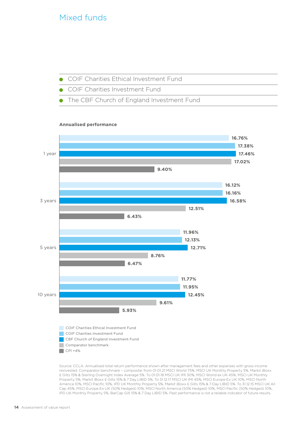### Mixed funds

- COIF Charities Ethical Investment Fund
- COIF Charities Investment Fund
- The CBF Church of England Investment Fund

#### **Annualised performance**



Source: CCLA. Annualised total return performance shown after management fees and other expenses with gross income reinvested. Comparator benchmark – composite: from 01.01.21 MSCI World 75%, MSCI UK Monthly Property 5%, Markit iBoxx £ Gilts 15% & Sterling Overnight Index Average 5%. To 01.01.18 MSCI UK IMI 30%, MSCI World ex UK 45%, MSCI UK Monthly Property 5%, Markit iBoxx £ Gilts 15% & 7 Day LIBID 5%. To 31.12.17 MSCI UK IMI 45%, MSCI Europe Ex UK 10%, MSCI North America 10%, MSCI Pacific 10%, IPD UK Monthly Property 5%, Markit iBoxx £ Gilts 15% & 7 Day LIBID 5%. To 31.12.15 MSCI UK All Cap 45%, MSCI Europe Ex UK (50% Hedged) 10%, MSCI North America (50% Hedged) 10%, MSCI Pacific (50% Hedged) 10%, IPD UK Monthly Property 5%, BarCap Gilt 15% & 7 Day LIBID 5%. Past performance is not a reliable indicator of future results.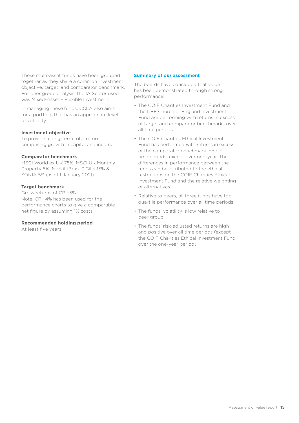These multi-asset funds have been grouped together as they share a common investment objective, target, and comparator benchmark. For peer group analysis, the IA Sector used was Mixed-Asset – Flexible Investment.

In managing these funds, CCLA also aims for a portfolio that has an appropriate level of volatility.

#### **Investment objective**

To provide a long-term total return comprising growth in capital and income.

#### **Comparator benchmark**

MSCI World ex UK 75%, MSCI UK Monthly Property 5%, Markit iBoxx £ Gilts 15% & SONIA 5% (as of 1 January 2021)

#### **Target benchmark**

Gross returns of CPI+5% Note: CPI+4% has been used for the performance charts to give a comparable net figure by assuming 1% costs

#### **Recommended holding period**

At least five years

#### **Summary of our assessment**

The boards have concluded that value has been demonstrated through strong performance:

- The COIF Charities Investment Fund and the CBF Church of England Investment Fund are performing with returns in excess of target and comparator benchmarks over all time periods.
- The COIF Charities Ethical Investment Fund has performed with returns in excess of the comparator benchmark over all time periods, except over one-year. The differences in performance between the funds can be attributed to the ethical restrictions on the COIF Charities Ethical Investment Fund and the relative weighting of alternatives.
- Relative to peers, all three funds have top quartile performance over all time periods.
- The funds' volatility is low relative to peer group.
- The funds' risk-adjusted returns are high and positive over all time periods (except the COIF Charities Ethical Investment Fund over the one-year period)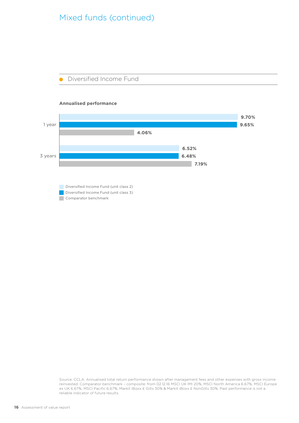### Mixed funds (continued)



#### **Annualised performance**



Diversified Income Fund (unit class 2) Diversified Income Fund (unit class 3) Comparator benchmark

Source: CCLA. Annualised total return performance shown after management fees and other expenses with gross income reinvested. Comparator benchmark – composite: from 02.12.16 MSCI UK IMI 20%, MSCI North America 6.67%, MSCI Europe ex UK 6.67%, MSCI Pacific 6.67%, Markit iBoxx £ Gilts 30% & Markit iBoxx £ NonGilts 30%. Past performance is not a reliable indicator of future results.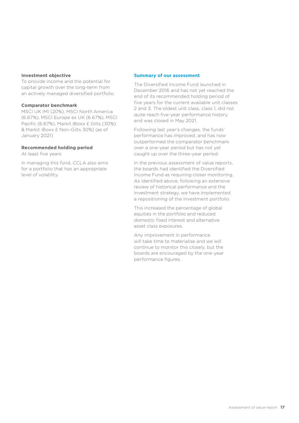#### **Investment objective**

To provide income and the potential for capital growth over the long-term from an actively managed diversified portfolio.

#### **Comparator benchmark**

MSCI UK IMI (20%), MSCI North America (6.67%), MSCI Europe ex UK (6.67%), MSCI Pacific (6.67%), Markit iBoxx £ Gilts (30%) & Markit iBoxx £ Non-Gilts 30%) (as of January 2021)

#### **Recommended holding period**

At least five years

In managing this fund, CCLA also aims for a portfolio that has an appropriate level of volatility.

#### **Summary of our assessment**

The Diversified Income Fund launched in December 2016 and has not yet reached the end of its recommended holding period of five years for the current available unit classes 2 and 3. The oldest unit class, class 1, did not quite reach five-year performance history and was closed in May 2021.

Following last year's changes, the funds' performance has improved, and has now outperformed the comparator benchmark over a one-year period but has not yet caught up over the three-year period.

In the previous assessment of value reports, the boards had identified the Diversified Income Fund as requiring closer monitoring. As identified above, following an extensive review of historical performance and the investment strategy, we have implemented a repositioning of the investment portfolio.

This increased the percentage of global equities in the portfolio and reduced domestic fixed interest and alternative asset class exposures.

Any improvement in performance will take time to materialise and we will continue to monitor this closely, but the boards are encouraged by the one-year performance figures.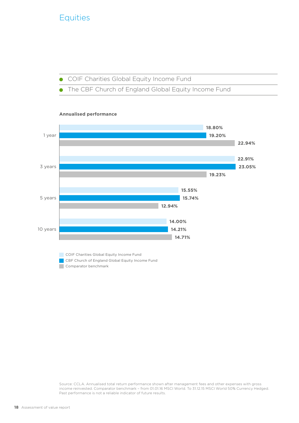### **Equities**





**COIF Charities Global Equity Income Fund** CBF Church of England Global Equity Income Fund Comparator benchmark

Source: CCLA. Annualised total return performance shown after management fees and other expenses with gross income reinvested. Comparator benchmark – from 01.01.16 MSCI World. To 31.12.15 MSCI World 50% Currency Hedged. Past performance is not a reliable indicator of future results.

#### **Annualised performance**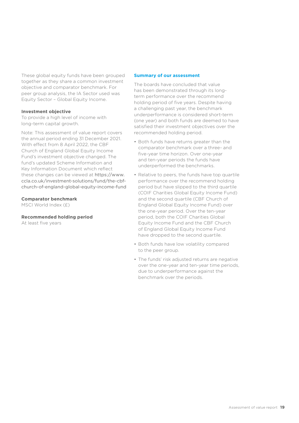These global equity funds have been grouped together as they share a common investment objective and comparator benchmark. For peer group analysis, the IA Sector used was Equity Sector – Global Equity Income.

#### **Investment objective**

To provide a high level of income with long-term capital growth.

Note: This assessment of value report covers the annual period ending 31 December 2021. With effect from 8 April 2022, the CBF Church of England Global Equity Income Fund's investment objective changed. The fund's updated Scheme Information and Key Information Document which reflect these changes can be viewed at [https://www.](https://www.ccla.co.uk/investment-solutions/fund/the-cbf-church-of-england-global-equity-income-fund ) [ccla.co.uk/investment-solutions/fund/the-cbf](https://www.ccla.co.uk/investment-solutions/fund/the-cbf-church-of-england-global-equity-income-fund )[church-of-england-global-equity-income-fund](https://www.ccla.co.uk/investment-solutions/fund/the-cbf-church-of-england-global-equity-income-fund )

#### **Comparator benchmark**

MSCI World Index (£)

#### **Recommended holding period**

At least five years

#### **Summary of our assessment**

The boards have concluded that value has been demonstrated through its longterm performance over the recommend holding period of five years. Despite having a challenging past year, the benchmark underperformance is considered short-term (one year) and both funds are deemed to have satisfied their investment objectives over the recommended holding period.

- Both funds have returns greater than the comparator benchmark over a three- and five-year time horizon. Over one-year and ten-year periods the funds have underperformed the benchmarks.
- Relative to peers, the funds have top quartile performance over the recommend holding period but have slipped to the third quartile (COIF Charities Global Equity Income Fund) and the second quartile (CBF Church of England Global Equity Income Fund) over the one-year period. Over the ten-year period, both the COIF Charities Global Equity Income Fund and the CBF Church of England Global Equity Income Fund have dropped to the second quartile.
- Both funds have low volatility compared to the peer group.
- The funds' risk adjusted returns are negative over the one-year and ten-year time periods, due to underperformance against the benchmark over the periods.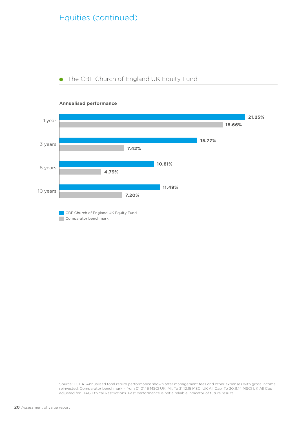### Equities (continued)

The CBF Church of England UK Equity Fund  $\bullet$ 



#### **Annualised performance**

Comparator benchmark

Source: CCLA. Annualised total return performance shown after management fees and other expenses with gross income reinvested. Comparator benchmark – from 01.01.16 MSCI UK IMI. To 31.12.15 MSCI UK All Cap. To 30.11.14 MSCI UK All Cap adjusted for EIAG Ethical Restrictions. Past performance is not a reliable indicator of future results.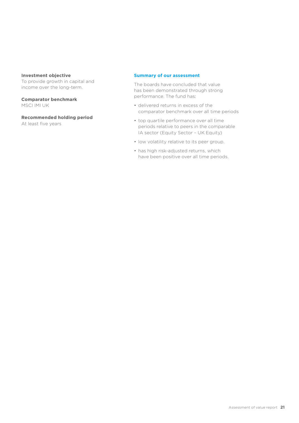#### **Investment objective**

To provide growth in capital and income over the long-term.

**Comparator benchmark** MSCI IMI UK

**Recommended holding period** At least five years

#### **Summary of our assessment**

The boards have concluded that value has been demonstrated through strong performance. The fund has:

- delivered returns in excess of the comparator benchmark over all time periods
- top quartile performance over all time periods relative to peers in the comparable IA sector (Equity Sector – UK Equity)
- low volatility relative to its peer group.
- has high risk-adjusted returns, which have been positive over all time periods.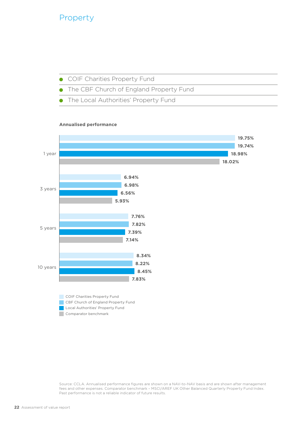### Property

- COIF Charities Property Fund  $\bullet$
- The CBF Church of England Property Fund
- The Local Authorities' Property Fund

#### **Annualised performance**



Source: CCLA. Annualised performance figures are shown on a NAV-to-NAV basis and are shown after management fees and other expenses. Comparator benchmark – MSCI/AREF UK Other Balanced Quarterly Property Fund Index. Past performance is not a reliable indicator of future results.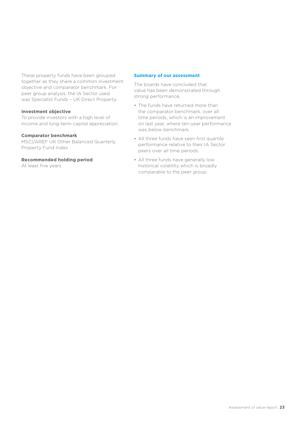These property funds have been grouped together as they share a common investment objective and comparator benchmark. For peer group analysis, the IA Sector used was Specialist Funds – UK Direct Property.

#### **Investment objective**

To provide investors with a high level of income and long-term capital appreciation.

#### **Comparator benchmark**

MSCI/AREF UK Other Balanced Quarterly Property Fund Index

#### **Recommended holding period**

At least five years

#### **Summary of our assessment**

The boards have concluded that value has been demonstrated through strong performance.

- The funds have returned more than the comparator benchmark, over all time periods, which is an improvement on last year, where ten-year performance was below benchmark
- All three funds have seen first quartile performance relative to their IA Sector peers over all time periods.
- All three funds have generally low historical volatility which is broadly comparable to the peer group.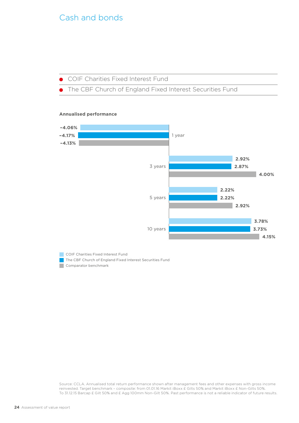### <span id="page-23-0"></span>Cash and bonds

COIF Charities Fixed Interest Fund

The CBF Church of England Fixed Interest Securities Fund

#### **Annualised performance**



**COIF Charities Fixed Interest Fund** The CBF Church of England Fixed Interest Securities Fund Comparator benchmark

Source: CCLA. Annualised total return performance shown after management fees and other expenses with gross income reinvested. Target benchmark – composite: from 01.01.16 Markit iBoxx £ Gilts 50% and Markit iBoxx £ Non-Gilts 50%. To 31.12.15 Barcap £ Gilt 50% and £ Agg 100mm Non-Gilt 50%. Past performance is not a reliable indicator of future results.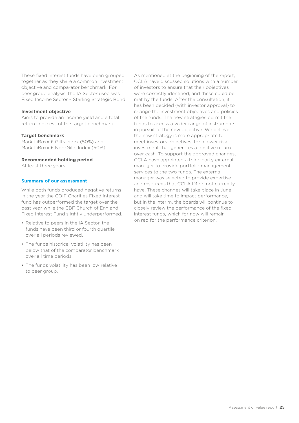These fixed interest funds have been grouped together as they share a common investment objective and comparator benchmark. For peer group analysis, the IA Sector used was Fixed Income Sector – Sterling Strategic Bond.

#### **Investment objective**

Aims to provide an income yield and a total return in excess of the target benchmark.

#### **Target benchmark**

Markit iBoxx £ Gilts Index (50%) and Markit iBoxx £ Non-Gilts Index (50%)

#### **Recommended holding period**

At least three years

#### **Summary of our assessment**

While both funds produced negative returns in the year the COIF Charities Fixed Interest fund has outperformed the target over the past year while the CBF Church of England Fixed Interest Fund slightly underperformed.

- Relative to peers in the IA Sector, the funds have been third or fourth quartile over all periods reviewed.
- The funds historical volatility has been below that of the comparator benchmark over all time periods.
- The funds volatility has been low relative to peer group.

As mentioned at the beginning of the report, CCLA have discussed solutions with a number of investors to ensure that their objectives were correctly identified, and these could be met by the funds. After the consultation, it has been decided (with investor approval) to change the investment objectives and policies of the funds. The new strategies permit the funds to access a wider range of instruments in pursuit of the new objective. We believe the new strategy is more appropriate to meet investors objectives, for a lower risk investment that generates a positive return over cash. To support the approved changes, CCLA have appointed a third-party external manager to provide portfolio management services to the two funds. The external manager was selected to provide expertise and resources that CCLA IM do not currently have. These changes will take place in June and will take time to impact performance, but in the interim, the boards will continue to closely review the performance of the fixed interest funds, which for now will remain on red for the performance criterion.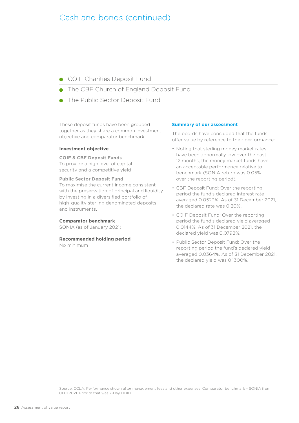### Cash and bonds (continued)

**COIF Charities Deposit Fund** 

The CBF Church of England Deposit Fund

The Public Sector Deposit Fund

These deposit funds have been grouped together as they share a common investment objective and comparator benchmark.

#### **Investment objective**

**COIF & CBF Deposit Funds**

To provide a high level of capital security and a competitive yield

#### **Public Sector Deposit Fund**

To maximise the current income consistent with the preservation of principal and liquidity by investing in a diversified portfolio of high-quality sterling denominated deposits and instruments.

#### **Comparator benchmark**

SONIA (as of January 2021)

#### **Recommended holding period**

No minimum

#### **Summary of our assessment**

The boards have concluded that the funds offer value by reference to their performance:

- Noting that sterling money market rates have been abnormally low over the past 12 months, the money market funds have an acceptable performance relative to benchmark (SONIA return was 0.05% over the reporting period).
- CBF Deposit Fund: Over the reporting period the fund's declared interest rate averaged 0.0523%. As of 31 December 2021, the declared rate was 0.20%.
- COIF Deposit Fund: Over the reporting period the fund's declared yield averaged 0.0144%. As of 31 December 2021, the declared yield was 0.0798%.
- Public Sector Deposit Fund: Over the reporting period the fund's declared yield averaged 0.0364%. As of 31 December 2021, the declared yield was 0.1300%.

Source: CCLA. Performance shown after management fees and other expenses. Comparator benchmark – SONIA from 01.01.2021. Prior to that was 7-Day LIBID.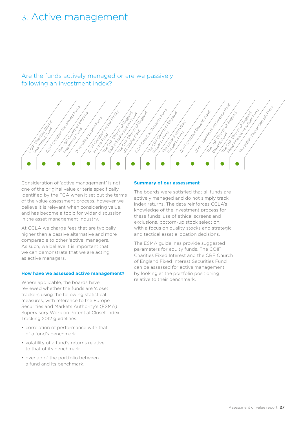### <span id="page-26-0"></span>3. Active management

Are the funds actively managed or are we passively following an investment index?



Consideration of 'active management' is not one of the original value criteria specifically identified by the FCA when it set out the terms of the value assessment process, however we believe it is relevant when considering value, and has become a topic for wider discussion in the asset management industry.

At CCLA we charge fees that are typically higher than a passive alternative and more comparable to other 'active' managers. As such, we believe it is important that we can demonstrate that we are acting as active managers.

#### **How have we assessed active management?**

Where applicable, the boards have reviewed whether the funds are 'closet' trackers using the following statistical measures, with reference to the Europe Securities and Markets Authority's (ESMA) Supervisory Work on Potential Closet Index Tracking 2012 guidelines:

- correlation of performance with that of a fund's benchmark
- volatility of a fund's returns relative to that of its benchmark
- overlap of the portfolio between a fund and its benchmark.

#### **Summary of our assessment**

The boards were satisfied that all funds are actively managed and do not simply track index returns. The data reinforces CCLA's knowledge of the investment process for these funds: use of ethical screens and exclusions, bottom-up stock selection, with a focus on quality stocks and strategic and tactical asset allocation decisions.

The ESMA guidelines provide suggested parameters for equity funds. The COIF Charities Fixed Interest and the CBF Church of England Fixed Interest Securities Fund can be assessed for active management by looking at the portfolio positioning relative to their benchmark.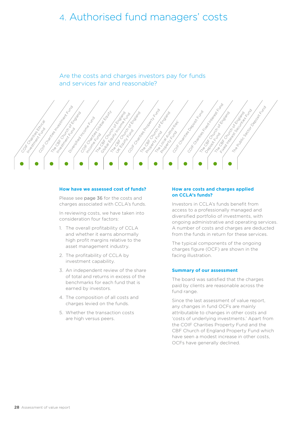## <span id="page-27-0"></span>4. Authorised fund managers' costs

Are the costs and charges investors pay for funds and services fair and reasonable?



#### **How have we assessed cost of funds?**

Please see [page 36](#page-35-1) for the costs and charges associated with CCLA's funds.

In reviewing costs, we have taken into consideration four factors:

- 1. The overall profitability of CCLA and whether it earns abnormally high profit margins relative to the asset management industry.
- 2. The profitability of CCLA by investment capability.
- 3. An independent review of the share of total and returns in excess of the benchmarks for each fund that is earned by investors.
- 4. The composition of all costs and charges levied on the funds.
- 5. Whether the transaction costs are high versus peers.

#### **How are costs and charges applied on CCLA's funds?**

Investors in CCLA's funds benefit from access to a professionally managed and diversified portfolio of investments, with ongoing administrative and operating services. A number of costs and charges are deducted from the funds in return for these services.

The typical components of the ongoing charges figure (OCF) are shown in the facing illustration.

#### **Summary of our assessment**

The board was satisfied that the charges paid by clients are reasonable across the fund range.

Since the last assessment of value report, any changes in fund OCFs are mainly attributable to changes in other costs and 'costs of underlying investments.' Apart from the COIF Charities Property Fund and the CBF Church of England Property Fund which have seen a modest increase in other costs, OCFs have generally declined.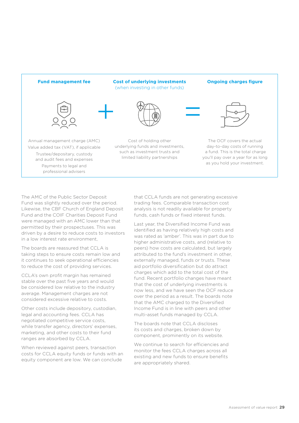

The AMC of the Public Sector Deposit Fund was slightly reduced over the period. Likewise, the CBF Church of England Deposit Fund and the COIF Charities Deposit Fund were managed with an AMC lower than that permitted by their prospectuses. This was driven by a desire to reduce costs to investors in a low interest rate environment,

The boards are reassured that CCLA is taking steps to ensure costs remain low and it continues to seek operational efficiencies to reduce the cost of providing services.

CCLA's own profit margin has remained stable over the past five years and would be considered low relative to the industry average. Management charges are not considered excessive relative to costs.

Other costs include depository, custodian, legal and accounting fees. CCLA has negotiated competitive service costs, while transfer agency, directors' expenses, marketing, and other costs to their fund ranges are absorbed by CCLA.

When reviewed against peers, transaction costs for CCLA equity funds or funds with an equity component are low. We can conclude

that CCLA funds are not generating excessive trading fees. Comparable transaction cost analysis is not readily available for property funds, cash funds or fixed interest funds.

Last year, the Diversified Income Fund was identified as having relatively high costs and was rated as 'amber'. This was in part due to higher administrative costs, and (relative to peers) how costs are calculated, but largely attributed to the fund's investment in other, externally managed, funds or trusts. These aid portfolio diversification but do attract charges which add to the total cost of the fund. Recent portfolio changes have meant that the cost of underlying investments is now less, and we have seen the OCF reduce over the period as a result. The boards note that the AMC charged to the Diversified Income Fund is in line with peers and other multi-asset funds managed by CCLA.

The boards note that CCLA discloses its costs and charges, broken down by component, prominently on its website.

We continue to search for efficiencies and monitor the fees CCLA charges across all existing and new funds to ensure benefits are appropriately shared.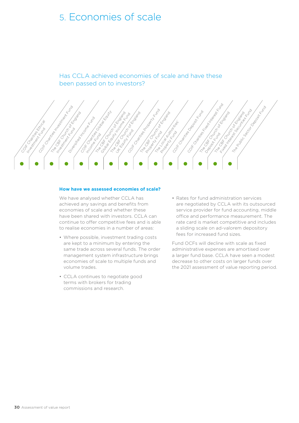## <span id="page-29-0"></span>5. Economies of scale

Has CCLA achieved economies of scale and have these been passed on to investors?



#### **How have we assessed economies of scale?**

We have analysed whether CCLA has achieved any savings and benefits from economies of scale and whether these have been shared with investors. CCLA can continue to offer competitive fees and is able to realise economies in a number of areas:

- Where possible, investment trading costs are kept to a minimum by entering the same trade across several funds. The order management system infrastructure brings economies of scale to multiple funds and volume trades.
- CCLA continues to negotiate good terms with brokers for trading commissions and research.

• Rates for fund administration services are negotiated by CCLA with its outsourced service provider for fund accounting, middle office and performance measurement. The rate card is market competitive and includes a sliding scale on ad-valorem depository fees for increased fund sizes.

Fund OCFs will decline with scale as fixed administrative expenses are amortised over a larger fund base. CCLA have seen a modest decrease to other costs on larger funds over the 2021 assessment of value reporting period.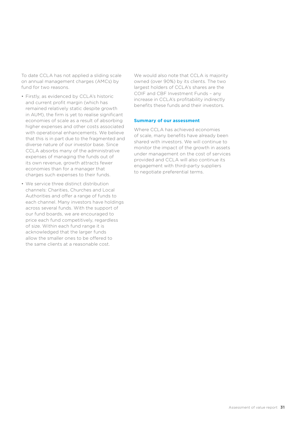To date CCLA has not applied a sliding scale on annual management charges (AMCs) by fund for two reasons.

- Firstly, as evidenced by CCLA's historic and current profit margin (which has remained relatively static despite growth in AUM), the firm is yet to realise significant economies of scale as a result of absorbing higher expenses and other costs associated with operational enhancements. We believe that this is in part due to the fragmented and diverse nature of our investor base. Since CCLA absorbs many of the administrative expenses of managing the funds out of its own revenue, growth attracts fewer economies than for a manager that charges such expenses to their funds.
- We service three distinct distribution channels: Charities, Churches and Local Authorities and offer a range of funds to each channel. Many investors have holdings across several funds. With the support of our fund boards, we are encouraged to price each fund competitively, regardless of size. Within each fund range it is acknowledged that the larger funds allow the smaller ones to be offered to the same clients at a reasonable cost.

We would also note that CCLA is majority owned (over 90%) by its clients. The two largest holders of CCLA's shares are the COIF and CBF Investment Funds – any increase in CCLA's profitability indirectly benefits these funds and their investors.

#### **Summary of our assessment**

Where CCLA has achieved economies of scale, many benefits have already been shared with investors. We will continue to monitor the impact of the growth in assets under management on the cost of services provided and CCLA will also continue its engagement with third-party suppliers to negotiate preferential terms.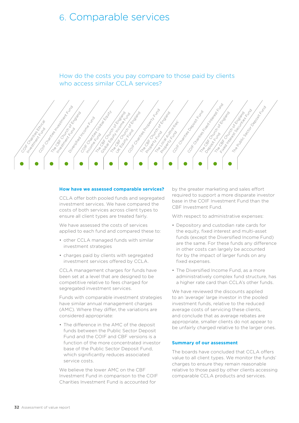# <span id="page-31-0"></span>6. Comparable services

How do the costs you pay compare to those paid by clients who access similar CCLA services?



#### **How have we assessed comparable services?**

CCLA offer both pooled funds and segregated investment services. We have compared the costs of both services across client types to ensure all client types are treated fairly.

We have assessed the costs of services applied to each fund and compared these to:

- other CCLA managed funds with similar investment strategies
- charges paid by clients with segregated investment services offered by CCLA.

CCLA management charges for funds have been set at a level that are designed to be competitive relative to fees charged for segregated investment services.

Funds with comparable investment strategies have similar annual management charges (AMC). Where they differ, the variations are considered appropriate:

• The difference in the AMC of the deposit funds between the Public Sector Deposit Fund and the COIF and CBF versions is a function of the more concentrated investor base of the Public Sector Deposit Fund, which significantly reduces associated service costs.

We believe the lower AMC on the CBF Investment Fund in comparison to the COIF Charities Investment Fund is accounted for

by the greater marketing and sales effort required to support a more disparate investor base in the COIF Investment Fund than the CBF Investment Fund.

With respect to administrative expenses:

- Depository and custodian rate cards for the equity, fixed interest and multi-asset funds (except the Diversified Income Fund) are the same. For these funds any difference in other costs can largely be accounted for by the impact of larger funds on any fixed expenses.
- The Diversified Income Fund, as a more administratively complex fund structure, has a higher rate card than CCLA's other funds.

We have reviewed the discounts applied to an 'average' large investor in the pooled investment funds, relative to the reduced average costs of servicing these clients, and conclude that as average rebates are appropriate, smaller clients do not appear to be unfairly charged relative to the larger ones.

#### **Summary of our assessment**

The boards have concluded that CCLA offers value to all client types. We monitor the funds' charges to ensure they remain reasonable relative to those paid by other clients accessing comparable CCLA products and services.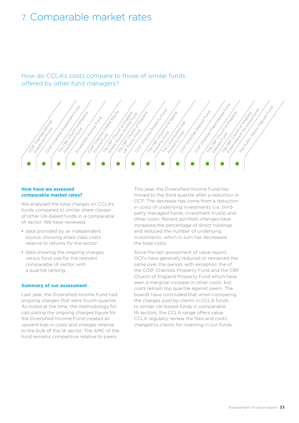# <span id="page-32-0"></span>7. Comparable market rates

How do CCLA's costs compare to those of similar funds offered by other fund managers?



#### **How have we assessed comparable market rates?**

We analysed the total charges on CCLA's funds compared to similar share classes of other UK-based funds in a comparable IA sector. We have reviewed:

- data provided by an independent source, showing share class costs relative to returns for the sector
- data showing the ongoing charges versus fund size for the relevant comparable IA sector, with a quartile ranking.

#### **Summary of our assessment**

Last year, the Diversified Income Fund had ongoing charges that were fourth quartile. As noted at the time, the methodology for calculating the ongoing charges figure for the Diversified Income Fund created an upward bias in costs and charges relative to the bulk of the IA sector. The AMC of the fund remains competitive relative to peers.

This year, the Diversified Income Fund has moved to the third quartile after a reduction in OCF. The decrease has come from a reduction in costs of underlying investments (i.e. thirdparty managed funds, investment trusts) and other costs. Recent portfolio changes have increased the percentage of direct holdings and reduced the number of underlying investments, which in turn has decreased the total costs.

Since the last assessment of value report, OCFs have generally reduced or remained the same over the period, with exception the of the COIF Charities Property Fund and the CBF Church of England Property Fund which have seen a marginal increase in other costs, but costs remain top quartile against peers. The boards have concluded that when comparing the charges paid by clients in CCLA funds to similar UK-based funds in comparable IA sectors, the CCLA range offers value. CCLA regularly review the fees and costs charged to clients for investing in our funds.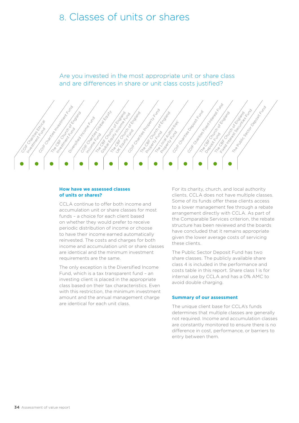## <span id="page-33-0"></span>8. Classes of units or shares

Are you invested in the most appropriate unit or share class and are differences in share or unit class costs justified?



#### **How have we assessed classes of units or shares?**

CCLA continue to offer both income and accumulation unit or share classes for most funds – a choice for each client based on whether they would prefer to receive periodic distribution of income or choose to have their income earned automatically reinvested. The costs and charges for both income and accumulation unit or share classes are identical and the minimum investment requirements are the same.

The only exception is the Diversified Income Fund, which is a tax transparent fund – an investing client is placed in the appropriate class based on their tax characteristics. Even with this restriction, the minimum investment amount and the annual management charge are identical for each unit class.

For its charity, church, and local authority clients, CCLA does not have multiple classes. Some of its funds offer these clients access to a lower management fee through a rebate arrangement directly with CCLA. As part of the Comparable Services criterion, the rebate structure has been reviewed and the boards have concluded that it remains appropriate given the lower average costs of servicing these clients.

The Public Sector Deposit Fund has two share classes. The publicly available share class 4 is included in the performance and costs table in this report. Share class 1 is for internal use by CCLA and has a 0% AMC to avoid double charging.

#### **Summary of our assessment**

The unique client base for CCLA's funds determines that multiple classes are generally not required. Income and accumulation classes are constantly monitored to ensure there is no difference in cost, performance, or barriers to entry between them.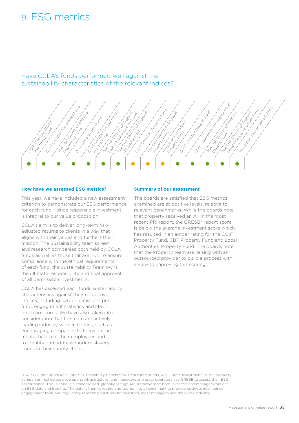# <span id="page-34-1"></span><span id="page-34-0"></span>9. ESG metrics

Have CCLA's funds performed well against the sustainability characteristics of the relevant indices?



#### **How have we assessed ESG metrics?**

This year, we have included a new assessment criterion to demonstrate our ESG performance for each fund – since responsible investment is integral to our value proposition.

CCLA's aim is to deliver long-term riskadjusted returns to clients in a way that aligns with their values and furthers their mission. The Sustainability team screen and research companies both held by CCLA funds as well as those that are not. To ensure compliance with the ethical requirements of each fund, the Sustainability Team owns the ultimate responsibility and final approval of all permissible investments.

CCLA has assessed each funds sustainability characteristics against their respective indices, including carbon emissions per fund, engagement statistics and MSCI portfolio scores. We have also taken into consideration that the team are actively leading industry-wide initiatives, such as encouraging companies to focus on the mental health of their employees and to identify and address modern slavery issues in their supply chains,

#### **Summary of our assessment**

The boards are satisfied that ESG metrics examined are at positive levels, relative to relevant benchmarks. While the boards note that property received an A+ in the most recent PRI report, the GRESB\* report score is below the average investment score which has resulted in an amber rating for the COIF Property Fund, CBF Property Fund and Local Authorities' Property Fund. The boards note that the Property team are liaising with an outsourced provider to build a process with a view to improving this scoring.

\*[GRESB](https://eur01.safelinks.protection.outlook.com/?url=https%3A%2F%2Fgresb.com%2Fnl-en%2F&data=04%7C01%7Cdilys.james%40ccla.co.uk%7Cf904987d8e7c4c31200f08da18971cac%7C55144c41f3a04f07b9852e96962961f2%7C0%7C0%7C637849334537689851%7CUnknown%7CTWFpbGZsb3d8eyJWIjoiMC4wLjAwMDAiLCJQIjoiV2luMzIiLCJBTiI6Ik1haWwiLCJXVCI6Mn0%3D%7C3000&sdata=yQFVMQ8Ld4i3mrCCBGby623LVPbxqA2DikefQfLNxRw%3D&reserved=0) is the Global Real Estate Sustainability Benchmark. Real estate funds, Real Estate Investment Trusts, property companies, real estate developers, infrastructure fund managers and asset operators use GRESB to assess their ESG performance. This is done in a standardized, globally recognised framework so both investors and managers can act on ESG data and insights. The data is then validated and scored into a benchmark to provide business intelligence, engagement tools and regulatory reporting solutions for investors, asset managers and the wider industry.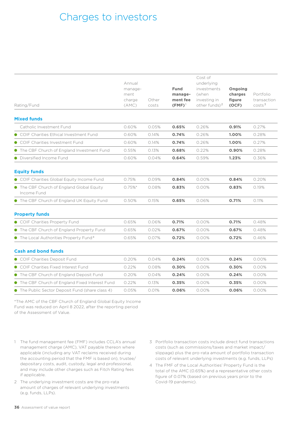# <span id="page-35-1"></span><span id="page-35-0"></span>Charges to investors

| Rating/Fund                                              | Annual<br>manage-<br>ment<br>charge<br>(AMC) | Other<br>costs | <b>Fund</b><br>manage-<br>ment fee<br>$(FMF)^T$ | Cost of<br>underlying<br>investments<br>(when<br>investing in<br>other funds) $2$ | Ongoing<br>charges<br>figure<br>(OCF) | Portfolio<br>transaction<br>costs <sup>3</sup> |
|----------------------------------------------------------|----------------------------------------------|----------------|-------------------------------------------------|-----------------------------------------------------------------------------------|---------------------------------------|------------------------------------------------|
| <b>Mixed funds</b>                                       |                                              |                |                                                 |                                                                                   |                                       |                                                |
| Catholic Investment Fund                                 | 0.60%                                        | 0.05%          | 0.65%                                           | 0.26%                                                                             | 0.91%                                 | 0.27%                                          |
| • COIF Charities Ethical Investment Fund                 | 0.60%                                        | 0.14%          | 0.74%                                           | 0.26%                                                                             | 1.00%                                 | 0.28%                                          |
| • COIF Charities Investment Fund                         | 0.60%                                        | 0.14%          | 0.74%                                           | 0.26%                                                                             | 1.00%                                 | 0.27%                                          |
| The CBF Church of England Investment Fund                | 0.55%                                        | 0.13%          | 0.68%                                           | 0.22%                                                                             | 0.90%                                 | 0.28%                                          |
| • Diversified Income Fund                                | 0.60%                                        | 0.04%          | 0.64%                                           | 0.59%                                                                             | 1.23%                                 | 0.36%                                          |
| <b>Equity funds</b>                                      |                                              |                |                                                 |                                                                                   |                                       |                                                |
| COIF Charities Global Equity Income Fund                 | 0.75%                                        | 0.09%          | 0.84%                                           | 0.00%                                                                             | 0.84%                                 | 0.20%                                          |
| • The CBF Church of England Global Equity<br>Income Fund | 0.75%                                        | 0.08%          | 0.83%                                           | 0.00%                                                                             | 0.83%                                 | 0.19%                                          |
| • The CBF Church of England UK Equity Fund               | 0.50%                                        | 0.15%          | 0.65%                                           | 0.06%                                                                             | 0.71%                                 | 0.11%                                          |
| <b>Property funds</b>                                    |                                              |                |                                                 |                                                                                   |                                       |                                                |
| COIF Charities Property Fund                             | 0.65%                                        | 0.06%          | 0.71%                                           | 0.00%                                                                             | 0.71%                                 | 0.48%                                          |
| ● The CBF Church of England Property Fund                | 0.65%                                        | 0.02%          | 0.67%                                           | 0.00%                                                                             | 0.67%                                 | 0.48%                                          |
| • The Local Authorities Property Fund <sup>4</sup>       | 0.65%                                        | 0.07%          | 0.72%                                           | 0.00%                                                                             | 0.72%                                 | 0.46%                                          |
| <b>Cash and bond funds</b>                               |                                              |                |                                                 |                                                                                   |                                       |                                                |
| ● COIF Charities Deposit Fund                            | 0.20%                                        | 0.04%          | 0.24%                                           | 0.00%                                                                             | 0.24%                                 | 0.00%                                          |
| COIF Charities Fixed Interest Fund                       | 0.22%                                        | 0.08%          | 0.30%                                           | 0.00%                                                                             | 0.30%                                 | 0.00%                                          |
| • The CBF Church of England Deposit Fund                 | 0.20%                                        | 0.04%          | 0.24%                                           | 0.00%                                                                             | 0.24%                                 | 0.00%                                          |
| • The CBF Church of England Fixed Interest Fund          | 0.22%                                        | 0.13%          | 0.35%                                           | 0.00%                                                                             | 0.35%                                 | 0.00%                                          |
| • The Public Sector Deposit Fund (share class 4)         | 0.05%                                        | 0.01%          | 0.06%                                           | 0.00%                                                                             | 0.06%                                 | 0.00%                                          |

\*The AMC of the CBF Church of England Global Equity Income Fund was reduced on April 8 2022, after the reporting period of the Assessment of Value.

- 1 The fund management fee (FMF) includes CCLA's annual management charge (AMC), VAT payable thereon where applicable (including any VAT reclaims received during the accounting period that the FMF is based on), trustee/ depositary costs, audit, custody, legal and professional, and may include other charges such as Fitch Rating fees if applicable.
- 2 The underlying investment costs are the pro-rata amount of charges of relevant underlying investments (e.g. funds, LLPs).
- 3 Portfolio transaction costs include direct fund transactions costs (such as commissions/taxes and market impact/ slippage) plus the pro-rata amount of portfolio transaction costs of relevant underlying investments (e.g. funds, LLPs)
- 4 The FMF of the Local Authorities' Property Fund is the total of the AMC (0.65%) and a representative other costs figure of 0.07% (based on previous years prior to the Covid-19 pandemic).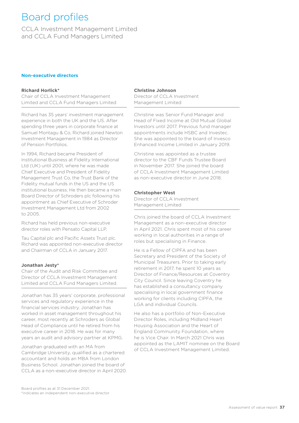# <span id="page-36-0"></span>Board profiles

<span id="page-36-1"></span>CCLA Investment Management Limited and CCLA Fund Managers Limited

#### **Non-executive directors**

#### **Richard Horlick\***

Chair of CCLA Investment Management Limited and CCLA Fund Managers Limited

Richard has 35 years' investment management experience in both the UK and the US. After spending three years in corporate finance at Samuel Montagu & Co, Richard joined Newton Investment Management in 1984 as Director of Pension Portfolios.

In 1994, Richard became President of Institutional Business at Fidelity International Ltd (UK) until 2001, where he was made Chief Executive and President of Fidelity Management Trust Co, the Trust Bank of the Fidelity mutual funds in the US and the US institutional business. He then became a main Board Director of Schroders plc following his appointment as Chief Executive of Schroder Investment Management Ltd from 2002 to 2005.

Richard has held previous non-executive director roles with Pensato Capital LLP,

Tau Capital plc and Pacific Assets Trust plc. Richard was appointed non-executive director and Chairman of CCLA in January 2017.

#### **Jonathan Jesty\***

Chair of the Audit and Risk Committee and Director of CCLA Investment Management Limited and CCLA Fund Managers Limited.

Jonathan has 35 years' corporate, professional services and regulatory experience in the financial services industry. Jonathan has worked in asset management throughout his career, most recently at Schroders as Global Head of Compliance until he retired from his executive career in 2018. He was for many years an audit and advisory partner at KPMG.

Jonathan graduated with an MA from Cambridge University, qualified as a chartered accountant and holds an MBA from London Business School. Jonathan joined the board of CCLA as a non-executive director in April 2020.

#### **Christine Johnson**

Director of CCLA Investment Management Limited

Christine was Senior Fund Manager and Head of Fixed Income at Old Mutual Global Investors until 2017. Previous fund manager appointments include HSBC and Investec. She was appointed to the board of Invesco Enhanced Income Limited in January 2019.

Christine was appointed as a trustee director to the CBF Funds Trustee Board in November 2017. She joined the board of CCLA Investment Management Limited as non-executive director in June 2018.

#### **Christopher West**

Director of CCLA Investment Management Limited

Chris joined the board of CCLA Investment Management as a non-executive director in April 2021. Chris spent most of his career working in local authorities in a range of roles but specialising in Finance.

He is a Fellow of CIPFA and has been Secretary and President of the Society of Municipal Treasurers. Prior to taking early retirement in 2017, he spent 10 years as Director of Finance/Resources at Coventry City Council. Since leaving Coventry he has established a consultancy company specialising in local government finance working for clients including CIPFA, the LGA and individual Councils.

He also has a portfolio of Non-Executive Director Roles, including Midland Heart Housing Association and the Heart of England Community Foundation, where he is Vice Chair. In March 2021 Chris was appointed as the LAMIT nominee on the Board of CCLA Investment Management Limited.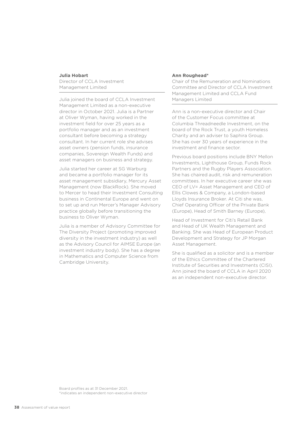#### **Julia Hobart**

Director of CCLA Investment Management Limited

Julia joined the board of CCLA Investment Management Limited as a non-executive director in October 2021. Julia is a Partner at Oliver Wyman, having worked in the investment field for over 25 years as a portfolio manager and as an investment consultant before becoming a strategy consultant. In her current role she advises asset owners (pension funds, insurance companies, Sovereign Wealth Funds) and asset managers on business and strategy.

Julia started her career at SG Warburg and became a portfolio manager for its asset management subsidiary, Mercury Asset Management (now BlackRock). She moved to Mercer to head their Investment Consulting business in Continental Europe and went on to set up and run Mercer's Manager Advisory practice globally before transitioning the business to Oliver Wyman.

Julia is a member of Advisory Committee for The Diversity Project (promoting improved diversity in the investment industry) as well as the Advisory Council for AIMSE Europe (an investment industry body). She has a degree in Mathematics and Computer Science from Cambridge University.

#### **Ann Roughead\***

Chair of the Remuneration and Nominations Committee and Director of CCLA Investment Management Limited and CCLA Fund Managers Limited

Ann is a non-executive director and Chair of the Customer Focus committee at Columbia Threadneedle Investment, on the board of the Rock Trust, a youth Homeless Charity and an adviser to Saphira Group. She has over 30 years of experience in the investment and finance sector.

Previous board positions include BNY Mellon Investments, Lighthouse Group, Funds Rock Partners and the Rugby Players Association. She has chaired audit, risk and remuneration committees. In her executive career she was CEO of LV= Asset Management and CEO of Ellis Clowes & Company, a London-based Lloyds Insurance Broker. At Citi she was, Chief Operating Officer of the Private Bank (Europe), Head of Smith Barney (Europe),

Head of Investment for Citi's Retail Bank and Head of UK Wealth Management and Banking. She was Head of European Product Development and Strategy for JP Morgan Asset Management.

She is qualified as a solicitor and is a member of the Ethics Committee of the Chartered Institute of Securities and Investments (CISI). Ann joined the board of CCLA in April 2020 as an independent non-executive director.

Board profiles as at 31 December 2021. \*indicates an independent non-executive director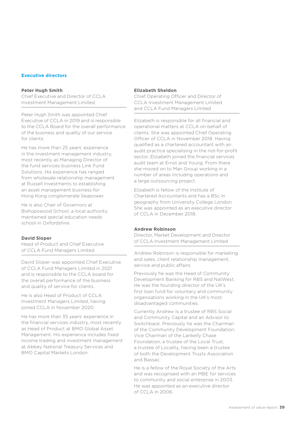#### **Executive directors**

#### **Peter Hugh Smith**

Chief Executive and Director of CCLA Investment Management Limited

Peter Hugh Smith was appointed Chief Executive of CCLA in 2019 and is responsible to the CCLA Board for the overall performance of the business and quality of our service for clients.

He has more than 25 years' experience in the investment management industry, most recently as Managing Director of the fund services business Link Fund Solutions. His experience has ranged from wholesale relationship management at Russell Investments to establishing an asset management business for Hong Kong conglomerate Seapower.

He is also Chair of Governors at Bishopswood School, a local authority maintained special education needs school in Oxfordshire.

#### **David Sloper**

Head of Product and Chief Executive of CCLA Fund Managers Limited

David Sloper was appointed Chief Executive of CCLA Fund Managers Limited in 2021 and is responsible to the CCLA board for the overall performance of the business and quality of service for clients.

He is also Head of Product of CCLA Investment Managers Limited, having joined CCLA in November 2020.

He has more than 35 years' experience in the financial services industry, most recently as Head of Product at BMO Global Asset Management. His experience includes fixed income trading and investment management at Abbey National Treasury Services and BMO Capital Markets London.

#### **Elizabeth Sheldon**

Chief Operating Officer and Director of CCLA Investment Management Limited and CCLA Fund Managers Limited

Elizabeth is responsible for all financial and operational matters at CCLA on behalf of clients. She was appointed Chief Operating Officer of CCLA in November 2018. Having qualified as a chartered accountant with an audit practice specialising in the not-for-profit sector, Elizabeth joined the financial services audit team at Ernst and Young. From there she moved on to Man Group working in a number of areas including operations and a large outsourcing project.

Elizabeth is fellow of the Institute of Chartered Accountants and has a BSc in geography from University College London. She was appointed as an executive director of CCLA in December 2018.

#### **Andrew Robinson**

Director, Market Development and Director of CCLA Investment Management Limited

Andrew Robinson is responsible for marketing and sales, client relationship management, service and public affairs.

Previously he was the Head of Community Development Banking for RBS and NatWest. He was the founding director of the UK's first loan fund for voluntary and community organisations working in the UK's most disadvantaged communities.

Currently Andrew is a trustee of RBS Social and Community Capital and an Advisor to Switchback. Previously he was the Chairman of the Community Development Foundation; Vice Chairman of the Lankelly Chase Foundation; a trustee of the Local Trust; a trustee of Locality, having been a trustee of both the Development Trusts Association and Bassac.

He is a fellow of the Royal Society of the Arts and was recognised with an MBE for services to community and social enterprise in 2003. He was appointed as an executive director of CCLA in 2006.